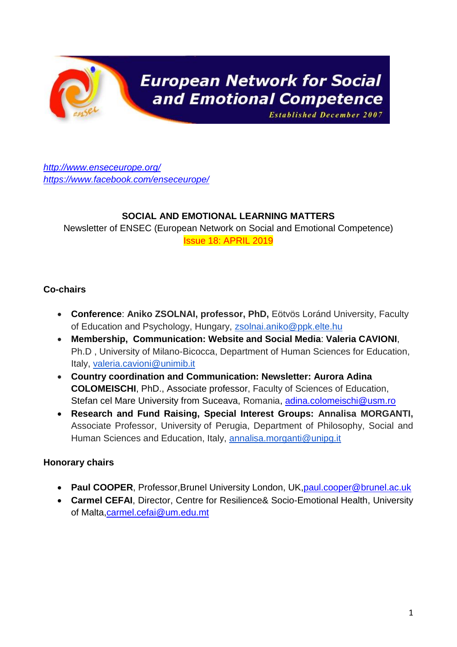

# **European Network for Social** and Emotional Competence

**Established December 2007** 

*<http://www.enseceurope.org/> <https://www.facebook.com/enseceurope/>*

#### **SOCIAL AND EMOTIONAL LEARNING MATTERS**

Newsletter of ENSEC (European Network on Social and Emotional Competence) Issue 18: APRIL 2019

#### **Co-chairs**

- **Conference**: **Aniko ZSOLNAI, professor, PhD,** Eötvös Loránd University, Faculty of Education and Psychology, Hungary, [zsolnai.aniko@ppk.elte.hu](mailto:zsolnai.aniko@ppk.elte.hu)
- **Membership, Communication: Website and Social Media**: **Valeria CAVIONI**, Ph.D , University of Milano-Bicocca, Department of Human Sciences for Education, Italy, [valeria.cavioni@unimib.it](mailto:valeria.cavioni@unimib.it)
- **Country coordination and Communication: Newsletter: Aurora Adina COLOMEISCHI**, PhD., Associate professor, Faculty of Sciences of Education, Stefan cel Mare University from Suceava, Romania, [adina.colomeischi@usm.ro](mailto:adina.colomeischi@usm.ro)
- **Research and Fund Raising, Special Interest Groups: Annalisa MORGANTI,**  Associate Professor, University of Perugia, Department of Philosophy, Social and Human Sciences and Education, Italy, [annalisa.morganti@unipg.it](mailto:annalisa.morganti@unipg.it)

#### **Honorary chairs**

- **Paul COOPER, Professor, Brunel University London, UK, paul.cooper@brunel.ac.uk**
- **Carmel CEFAI**, Director, Centre for Resilience& Socio-Emotional Health, University of Malta[,carmel.cefai@um.edu.mt](mailto:carmel.cefai@um.edu.mt)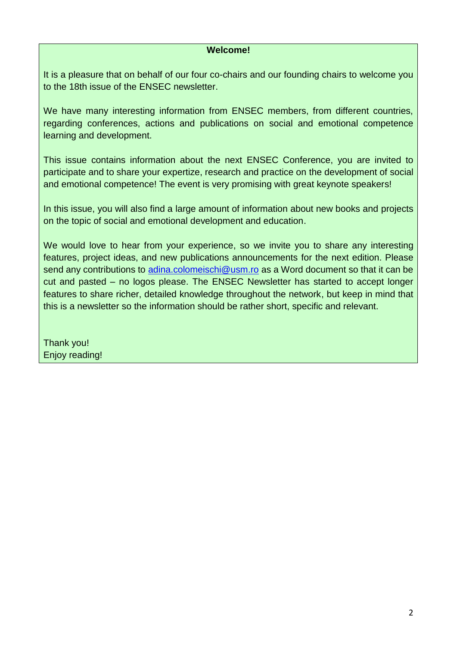#### **Welcome!**

It is a pleasure that on behalf of our four co-chairs and our founding chairs to welcome you to the 18th issue of the ENSEC newsletter.

We have many interesting information from ENSEC members, from different countries, regarding conferences, actions and publications on social and emotional competence learning and development.

This issue contains information about the next ENSEC Conference, you are invited to participate and to share your expertize, research and practice on the development of social and emotional competence! The event is very promising with great keynote speakers!

In this issue, you will also find a large amount of information about new books and projects on the topic of social and emotional development and education.

We would love to hear from your experience, so we invite you to share any interesting features, project ideas, and new publications announcements for the next edition. Please send any contributions to [adina.colomeischi@usm.ro](mailto:adina.colomeischi@usm.ro) as a Word document so that it can be cut and pasted – no logos please. The ENSEC Newsletter has started to accept longer features to share richer, detailed knowledge throughout the network, but keep in mind that this is a newsletter so the information should be rather short, specific and relevant.

Thank you! Enjoy reading!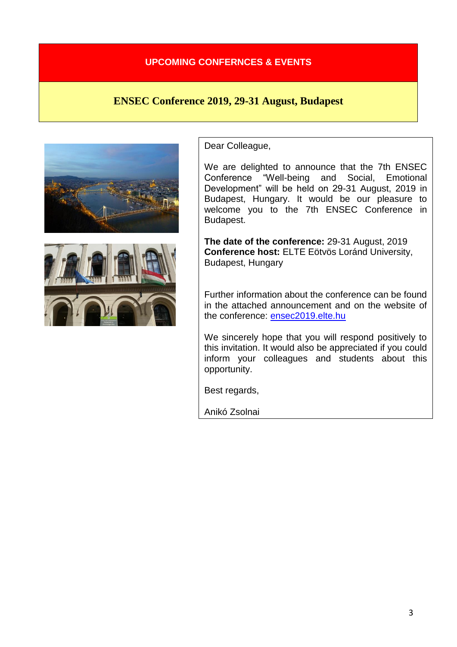#### **UPCOMING CONFERNCES & EVENTS**

## **ENSEC Conference 2019, 29-31 August, Budapest**





Dear Colleague,

We are delighted to announce that the 7th ENSEC Conference "Well-being and Social, Emotional Development" will be held on 29-31 August, 2019 in Budapest, Hungary. It would be our pleasure to welcome you to the 7th ENSEC Conference in Budapest.

**The date of the conference:** 29-31 August, 2019 **Conference host:** ELTE Eötvös Loránd University, Budapest, Hungary

Further information about the conference can be found in the attached announcement and on the website of the conference: [ensec2019.elte.hu](http://ensec2019.elte.hu/)

We sincerely hope that you will respond positively to this invitation. It would also be appreciated if you could inform your colleagues and students about this opportunity.

Best regards,

Anikó Zsolnai

Conference chair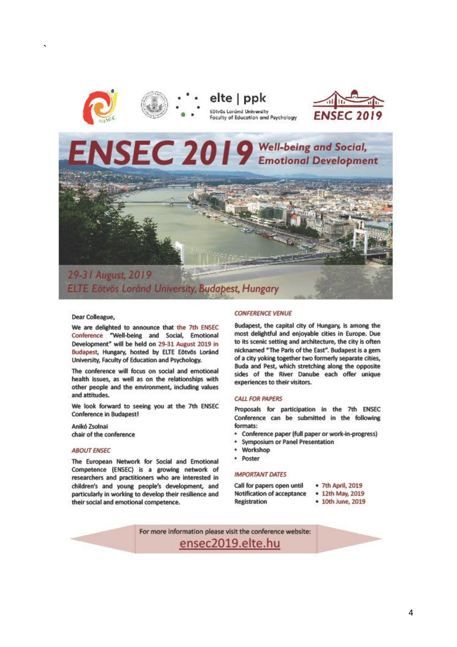

**`**



elte | ppk Eötvös Lordnd University Faculty of Education and Psychology



# NSEC 2019 Well-being and Social,

29-31 August, 2019 ELTE Eötvös Loránd University, Budapest, Hungary

#### Dear Colleague,

We are delighted to announce that the 7th ENSEC Conference "Well-being and Social, Emotional Development" will be held on 29-31 August 2019 in Budapest, Hungary, hosted by ELTE Eötvös Loránd University, Faculty of Education and Psychology.

The conference will focus on social and emotional health issues, as well as on the relationships with other people and the environment, including values and attitudes.

We look forward to seeing you at the 7th ENSEC **Conference in Budapest!** 

Anikó Zsolnai chair of the conference

#### **ABOUT ENSEC**

The European Network for Social and Emotional Competence (ENSEC) is a growing network of researchers and practitioners who are interested in children's and young people's development, and particularly in working to develop their resilience and their social and emotional competence.

#### **CONFERENCE VENUE**

Budapest, the capital city of Hungary, is among the most delightful and enjoyable cities in Europe. Due to its scenic setting and architecture, the city is often nicknamed "The Paris of the East". Budapest is a gem of a city yoking together two formerly separate cities, Buda and Pest, which stretching along the opposite sides of the River Danube each offer unique experiences to their visitors.

#### **CALL FOR PAPERS**

Proposals for participation in the 7th ENSEC Conference can be submitted in the following formats:

- Conference paper (full paper or work-in-progress)
- **Symposium or Panel Presentation**
- Workshop
- · Poster

#### **IMPORTANT DATES**

Call for papers open until Notification of acceptance Registration

- · 7th April, 2019 • 12th May, 2019
- 10th June, 2019

For more information please visit the conference website: ensec2019.elte.hu

4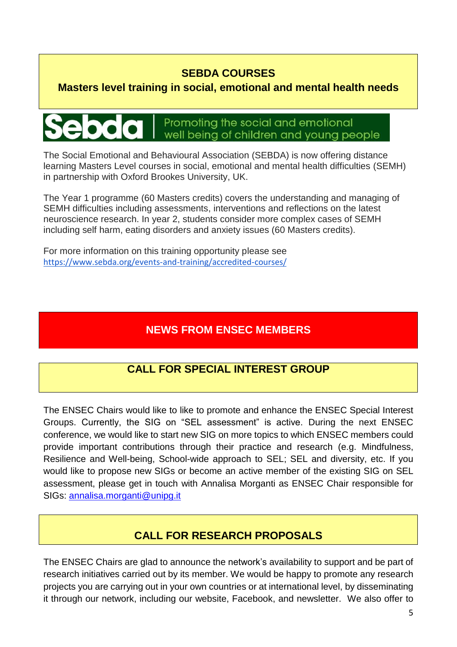## **SEBDA COURSES**

## **Masters level training in social, emotional and mental health needs**

# Promoting the social and emotional well being of children and young people

The Social Emotional and Behavioural Association (SEBDA) is now offering distance learning Masters Level courses in social, emotional and mental health difficulties (SEMH) in partnership with Oxford Brookes University, UK.

The Year 1 programme (60 Masters credits) covers the understanding and managing of SEMH difficulties including assessments, interventions and reflections on the latest neuroscience research. In year 2, students consider more complex cases of SEMH including self harm, eating disorders and anxiety issues (60 Masters credits).

For more information on this training opportunity please see <https://www.sebda.org/events-and-training/accredited-courses/>

# **NEWS FROM ENSEC MEMBERS**

# **CALL FOR SPECIAL INTEREST GROUP**

The ENSEC Chairs would like to like to promote and enhance the ENSEC Special Interest Groups. Currently, the SIG on "SEL assessment" is active. During the next ENSEC conference, we would like to start new SIG on more topics to which ENSEC members could provide important contributions through their practice and research (e.g. Mindfulness, Resilience and Well-being, School-wide approach to SEL; SEL and diversity, etc. If you would like to propose new SIGs or become an active member of the existing SIG on SEL assessment, please get in touch with Annalisa Morganti as ENSEC Chair responsible for SIGs: [annalisa.morganti@unipg.it](mailto:annalisa.morganti@unipg.it)

# **CALL FOR RESEARCH PROPOSALS**

The ENSEC Chairs are glad to announce the network's availability to support and be part of research initiatives carried out by its member. We would be happy to promote any research projects you are carrying out in your own countries or at international level, by disseminating it through our network, including our website, Facebook, and newsletter. We also offer to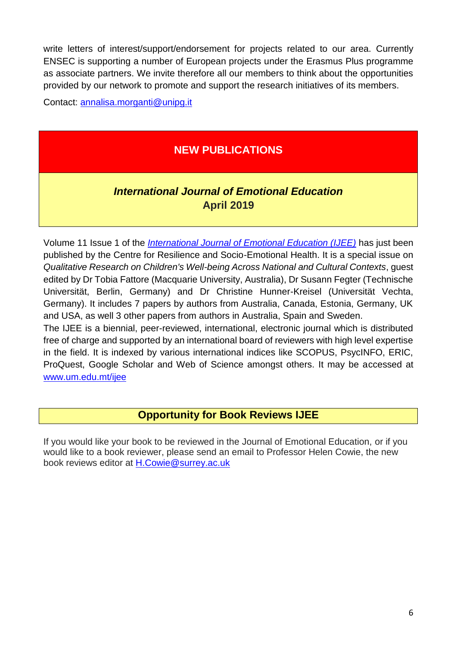write letters of interest/support/endorsement for projects related to our area. Currently ENSEC is supporting a number of European projects under the Erasmus Plus programme as associate partners. We invite therefore all our members to think about the opportunities provided by our network to promote and support the research initiatives of its members.

Contact: [annalisa.morganti@unipg.it](mailto:annalisa.morganti@unipg.it)

# **NEW PUBLICATIONS**

# *International Journal of Emotional Education* **April 2019**

Volume 11 Issue 1 of the *[International Journal of Emotional Education \(IJEE\)](http://www.enseceurope.org/journal)* has just been published by the Centre for Resilience and Socio-Emotional Health. It is a special issue on *Qualitative Research on Children's Well-being Across National and Cultural Contexts*, guest edited by Dr Tobia Fattore (Macquarie University, Australia), Dr Susann Fegter (Technische Universität, Berlin, Germany) and Dr Christine Hunner-Kreisel (Universität Vechta, Germany). It includes 7 papers by authors from Australia, Canada, Estonia, Germany, UK and USA, as well 3 other papers from authors in Australia, Spain and Sweden.

The IJEE is a biennial, peer-reviewed, international, electronic journal which is distributed free of charge and supported by an international board of reviewers with high level expertise in the field. It is indexed by various international indices like SCOPUS, PsycINFO, ERIC, ProQuest, Google Scholar and Web of Science amongst others. It may be accessed at [www.um.edu.mt/ijee](http://www.um.edu.mt/ijee)

#### **Opportunity for Book Reviews IJEE**

If you would like your book to be reviewed in the Journal of Emotional Education, or if you would like to a book reviewer, please send an email to Professor Helen Cowie, the new book reviews editor at [H.Cowie@surrey.ac.uk](mailto:H.Cowie@surrey.ac.uk)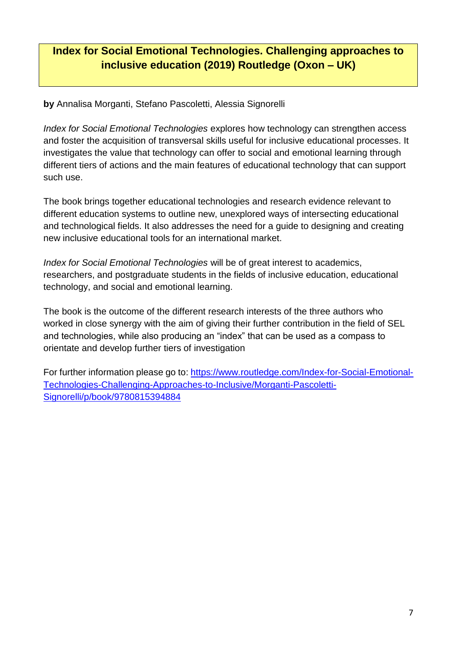# **Index for Social Emotional Technologies. Challenging approaches to inclusive education (2019) Routledge (Oxon – UK)**

**by** Annalisa Morganti, Stefano Pascoletti, Alessia Signorelli

*Index for Social Emotional Technologies* explores how technology can strengthen access and foster the acquisition of transversal skills useful for inclusive educational processes. It investigates the value that technology can offer to social and emotional learning through different tiers of actions and the main features of educational technology that can support such use.

The book brings together educational technologies and research evidence relevant to different education systems to outline new, unexplored ways of intersecting educational and technological fields. It also addresses the need for a guide to designing and creating new inclusive educational tools for an international market.

*Index for Social Emotional Technologies* will be of great interest to academics, researchers, and postgraduate students in the fields of inclusive education, educational technology, and social and emotional learning.

The book is the outcome of the different research interests of the three authors who worked in close synergy with the aim of giving their further contribution in the field of SEL and technologies, while also producing an "index" that can be used as a compass to orientate and develop further tiers of investigation

For further information please go to: [https://www.routledge.com/Index-for-Social-Emotional-](https://www.routledge.com/Index-for-Social-Emotional-Technologies-Challenging-Approaches-to-Inclusive/Morganti-Pascoletti-Signorelli/p/book/9780815394884)[Technologies-Challenging-Approaches-to-Inclusive/Morganti-Pascoletti-](https://www.routledge.com/Index-for-Social-Emotional-Technologies-Challenging-Approaches-to-Inclusive/Morganti-Pascoletti-Signorelli/p/book/9780815394884)[Signorelli/p/book/9780815394884](https://www.routledge.com/Index-for-Social-Emotional-Technologies-Challenging-Approaches-to-Inclusive/Morganti-Pascoletti-Signorelli/p/book/9780815394884)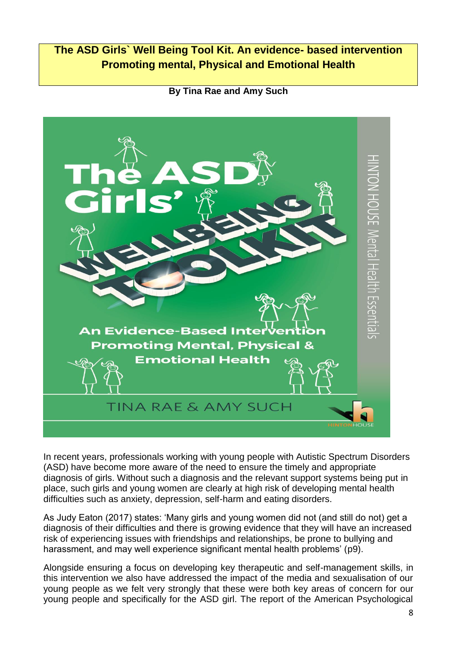# **The ASD Girls` Well Being Tool Kit. An evidence- based intervention Promoting mental, Physical and Emotional Health**



**By Tina Rae and Amy Such**

In recent years, professionals working with young people with Autistic Spectrum Disorders (ASD) have become more aware of the need to ensure the timely and appropriate diagnosis of girls. Without such a diagnosis and the relevant support systems being put in place, such girls and young women are clearly at high risk of developing mental health difficulties such as anxiety, depression, self-harm and eating disorders.

As Judy Eaton (2017) states: 'Many girls and young women did not (and still do not) get a diagnosis of their difficulties and there is growing evidence that they will have an increased risk of experiencing issues with friendships and relationships, be prone to bullying and harassment, and may well experience significant mental health problems' (p9).

Alongside ensuring a focus on developing key therapeutic and self-management skills, in this intervention we also have addressed the impact of the media and sexualisation of our young people as we felt very strongly that these were both key areas of concern for our young people and specifically for the ASD girl. The report of the American Psychological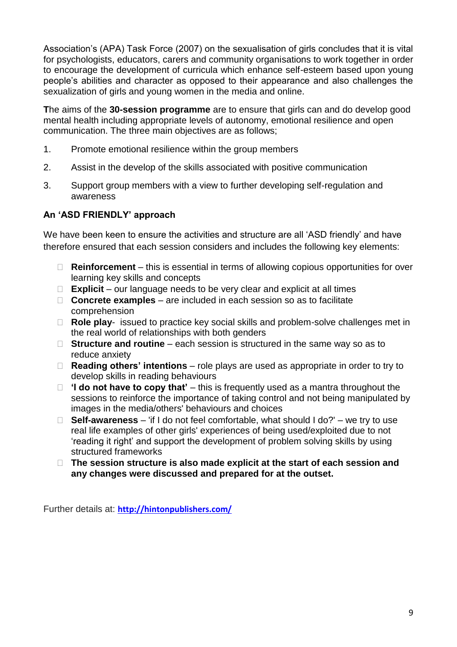Association's (APA) Task Force (2007) on the sexualisation of girls concludes that it is vital for psychologists, educators, carers and community organisations to work together in order to encourage the development of curricula which enhance self-esteem based upon young people's abilities and character as opposed to their appearance and also challenges the sexualization of girls and young women in the media and online.

**T**he aims of the **30-session programme** are to ensure that girls can and do develop good mental health including appropriate levels of autonomy, emotional resilience and open communication. The three main objectives are as follows;

- 1. Promote emotional resilience within the group members
- 2. Assist in the develop of the skills associated with positive communication
- 3. Support group members with a view to further developing self-regulation and awareness

#### **An 'ASD FRIENDLY' approach**

We have been keen to ensure the activities and structure are all 'ASD friendly' and have therefore ensured that each session considers and includes the following key elements:

- **Reinforcement** this is essential in terms of allowing copious opportunities for over learning key skills and concepts
- **Explicit** our language needs to be very clear and explicit at all times
- **Concrete examples** are included in each session so as to facilitate comprehension
- □ **Role play-** issued to practice key social skills and problem-solve challenges met in the real world of relationships with both genders
- **Structure and routine** each session is structured in the same way so as to reduce anxiety
- **Reading others' intentions** role plays are used as appropriate in order to try to develop skills in reading behaviours
- **'I do not have to copy that'** this is frequently used as a mantra throughout the sessions to reinforce the importance of taking control and not being manipulated by images in the media/others' behaviours and choices
- **Self-awareness** 'if I do not feel comfortable, what should I do?' we try to use real life examples of other girls' experiences of being used/exploited due to not 'reading it right' and support the development of problem solving skills by using structured frameworks
- **The session structure is also made explicit at the start of each session and any changes were discussed and prepared for at the outset.**

Further details at: **<http://hintonpublishers.com/>**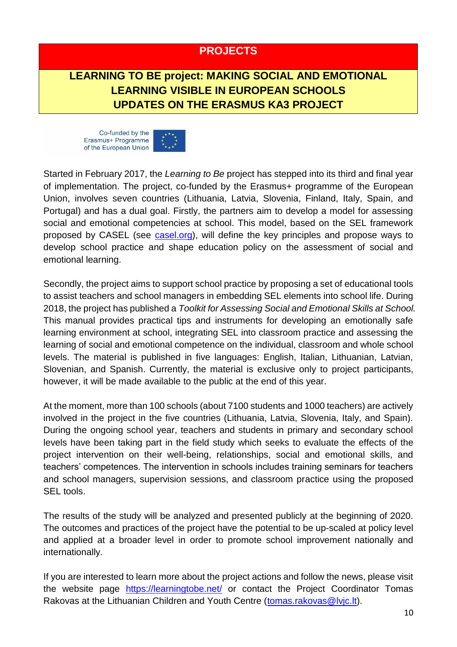### **PROJECTS**

# **LEARNING TO BE project: MAKING SOCIAL AND EMOTIONAL LEARNING VISIBLE IN EUROPEAN SCHOOLS UPDATES ON THE ERASMUS KA3 PROJECT**





Started in February 2017, the *Learning to Be* project has stepped into its third and final year of implementation. The project, co-funded by the Erasmus+ programme of the European Union, involves seven countries (Lithuania, Latvia, Slovenia, Finland, Italy, Spain, and Portugal) and has a dual goal. Firstly, the partners aim to develop a model for assessing social and emotional competencies at school. This model, based on the SEL framework proposed by CASEL (see [casel.org\)](https://casel.org/), will define the key principles and propose ways to develop school practice and shape education policy on the assessment of social and emotional learning.

Secondly, the project aims to support school practice by proposing a set of educational tools to assist teachers and school managers in embedding SEL elements into school life. During 2018, the project has published a *Toolkit for Assessing Social and Emotional Skills at School.*  This manual provides practical tips and instruments for developing an emotionally safe learning environment at school, integrating SEL into classroom practice and assessing the learning of social and emotional competence on the individual, classroom and whole school levels. The material is published in five languages: English, Italian, Lithuanian, Latvian, Slovenian, and Spanish. Currently, the material is exclusive only to project participants, however, it will be made available to the public at the end of this year.

At the moment, more than 100 schools (about 7100 students and 1000 teachers) are actively involved in the project in the five countries (Lithuania, Latvia, Slovenia, Italy, and Spain). During the ongoing school year, teachers and students in primary and secondary school levels have been taking part in the field study which seeks to evaluate the effects of the project intervention on their well-being, relationships, social and emotional skills, and teachers' competences. The intervention in schools includes training seminars for teachers and school managers, supervision sessions, and classroom practice using the proposed SEL tools.

The results of the study will be analyzed and presented publicly at the beginning of 2020. The outcomes and practices of the project have the potential to be up-scaled at policy level and applied at a broader level in order to promote school improvement nationally and internationally.

If you are interested to learn more about the project actions and follow the news, please visit the website page <https://learningtobe.net/> or contact the Project Coordinator Tomas Rakovas at the Lithuanian Children and Youth Centre [\(tomas.rakovas@lvjc.lt\)](mailto:tomas.rakovas@lvjc.lt).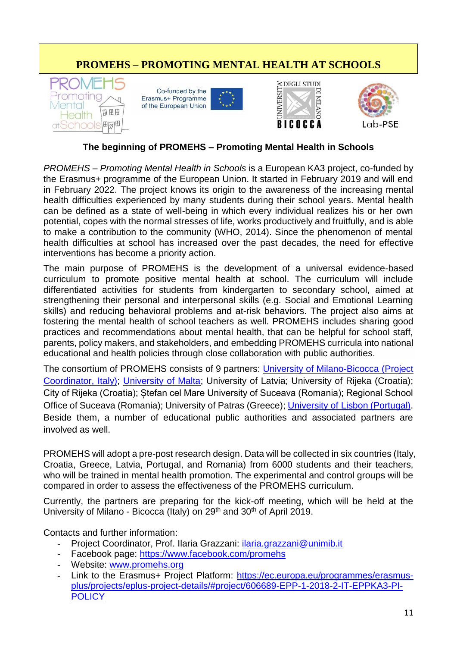# **PROMEHS – PROMOTING MENTAL HEALTH AT SCHOOLS**









#### **The beginning of PROMEHS – Promoting Mental Health in Schools**

*PROMEHS – Promoting Mental Health in Schools* is a European KA3 project, co-funded by the Erasmus+ programme of the European Union. It started in February 2019 and will end in February 2022. The project knows its origin to the awareness of the increasing mental health difficulties experienced by many students during their school years. Mental health can be defined as a state of well-being in which every individual realizes his or her own potential, copes with the normal stresses of life, works productively and fruitfully, and is able to make a contribution to the community (WHO, 2014). Since the phenomenon of mental health difficulties at school has increased over the past decades, the need for effective interventions has become a priority action.

The main purpose of PROMEHS is the development of a universal evidence-based curriculum to promote positive mental health at school. The curriculum will include differentiated activities for students from kindergarten to secondary school, aimed at strengthening their personal and interpersonal skills (e.g. Social and Emotional Learning skills) and reducing behavioral problems and at-risk behaviors. The project also aims at fostering the mental health of school teachers as well. PROMEHS includes sharing good practices and recommendations about mental health, that can be helpful for school staff, parents, policy makers, and stakeholders, and embedding PROMEHS curricula into national educational and health policies through close collaboration with public authorities.

The consortium of PROMEHS consists of 9 partners: [University of Milano-Bicocca \(Project](https://www.unimib.it/unimib-international)  [Coordinator, Italy\);](https://www.unimib.it/unimib-international) [University of Malta;](https://www.um.edu.mt/) University of Latvia; University of Rijeka (Croatia): City of Rijeka (Croatia); Ștefan cel Mare University of Suceava (Romania); Regional School Office of Suceava (Romania); University of Patras (Greece); University of [Lisbon \(Portugal\).](https://www.ulisboa.pt/en) Beside them, a number of educational public authorities and associated partners are involved as well.

PROMEHS will adopt a pre-post research design. Data will be collected in six countries (Italy, Croatia, Greece, Latvia, Portugal, and Romania) from 6000 students and their teachers, who will be trained in mental health promotion. The experimental and control groups will be compared in order to assess the effectiveness of the PROMEHS curriculum.

Currently, the partners are preparing for the kick-off meeting, which will be held at the University of Milano - Bicocca (Italy) on 29<sup>th</sup> and 30<sup>th</sup> of April 2019.

Contacts and further information:

- Project Coordinator, Prof. Ilaria Grazzani: *ilaria.grazzani@unimib.it*
- Facebook page:<https://www.facebook.com/promehs>
- Website: [www.promehs.org](http://www.promehs.org/)
- Link to the Erasmus+ Project Platform: [https://ec.europa.eu/programmes/erasmus](https://ec.europa.eu/programmes/erasmus-plus/projects/eplus-project-details/#project/606689-EPP-1-2018-2-IT-EPPKA3-PI-POLICY)[plus/projects/eplus-project-details/#project/606689-EPP-1-2018-2-IT-EPPKA3-PI-](https://ec.europa.eu/programmes/erasmus-plus/projects/eplus-project-details/#project/606689-EPP-1-2018-2-IT-EPPKA3-PI-POLICY)**[POLICY](https://ec.europa.eu/programmes/erasmus-plus/projects/eplus-project-details/#project/606689-EPP-1-2018-2-IT-EPPKA3-PI-POLICY)**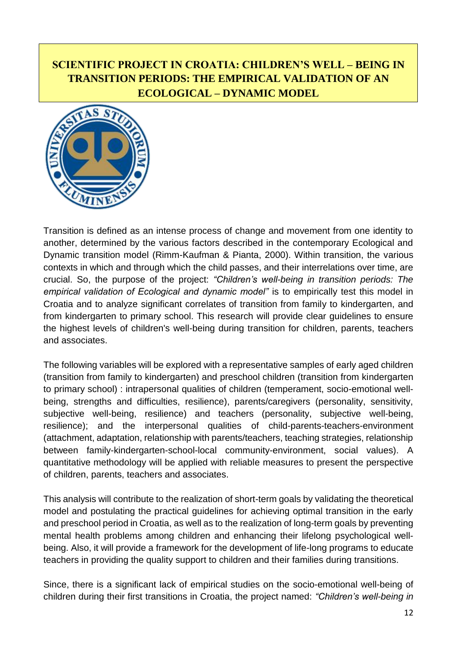# **SCIENTIFIC PROJECT IN CROATIA: CHILDREN'S WELL – BEING IN TRANSITION PERIODS: THE EMPIRICAL VALIDATION OF AN ECOLOGICAL – DYNAMIC MODEL**



Transition is defined as an intense process of change and movement from one identity to another, determined by the various factors described in the contemporary Ecological and Dynamic transition model (Rimm-Kaufman & Pianta, 2000). Within transition, the various contexts in which and through which the child passes, and their interrelations over time, are crucial. So, the purpose of the project: *"Children's well-being in transition periods: The empirical validation of Ecological and dynamic model"* is to empirically test this model in Croatia and to analyze significant correlates of transition from family to kindergarten, and from kindergarten to primary school. This research will provide clear guidelines to ensure the highest levels of children's well-being during transition for children, parents, teachers and associates.

The following variables will be explored with a representative samples of early aged children (transition from family to kindergarten) and preschool children (transition from kindergarten to primary school) : intrapersonal qualities of children (temperament, socio-emotional wellbeing, strengths and difficulties, resilience), parents/caregivers (personality, sensitivity, subjective well-being, resilience) and teachers (personality, subjective well-being, resilience); and the interpersonal qualities of child-parents-teachers-environment (attachment, adaptation, relationship with parents/teachers, teaching strategies, relationship between family-kindergarten-school-local community-environment, social values). A quantitative methodology will be applied with reliable measures to present the perspective of children, parents, teachers and associates.

This analysis will contribute to the realization of short-term goals by validating the theoretical model and postulating the practical guidelines for achieving optimal transition in the early and preschool period in Croatia, as well as to the realization of long-term goals by preventing mental health problems among children and enhancing their lifelong psychological wellbeing. Also, it will provide a framework for the development of life-long programs to educate teachers in providing the quality support to children and their families during transitions.

Since, there is a significant lack of empirical studies on the socio-emotional well-being of children during their first transitions in Croatia, the project named: *"Children's well-being in*